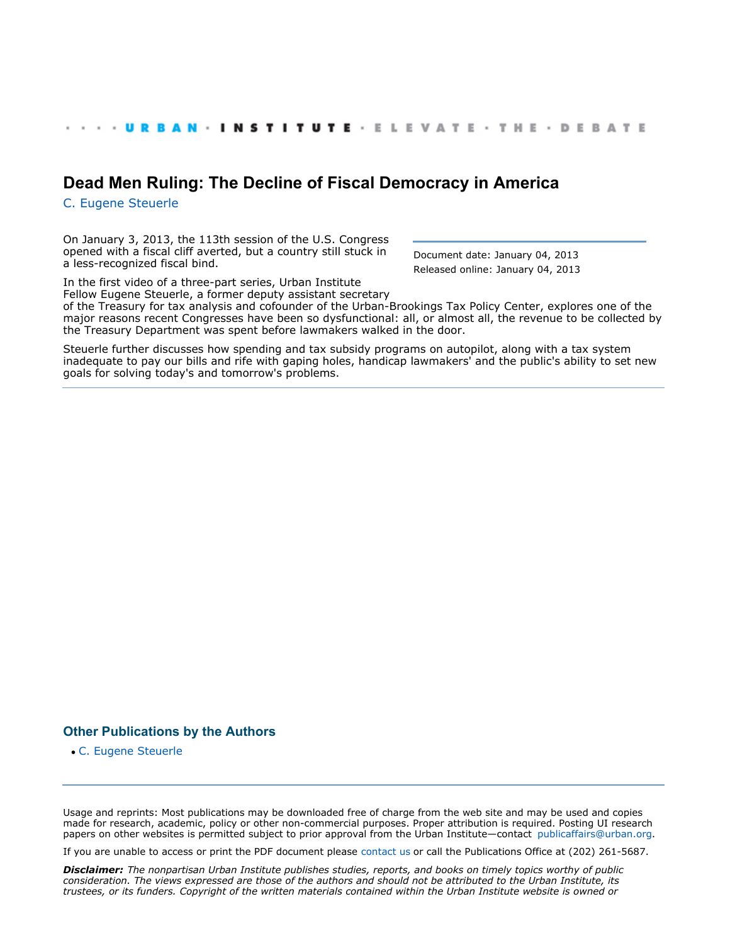## **[Dead Men Ruling: The Decline of Fiscal Democracy in America](http://www.urban.org/index.cfm)**

[C. Eugene Steuerle](http://www.urban.org/CEugeneSteuerle)

On January 3, 2013, the 113th session of the U.S. Congress opened with a fiscal cliff averted, but a country still stuck in a less-recognized fiscal bind.

Document date: January 04, 2013 Released online: January 04, 2013

In the first video of a three-part series, Urban Institute Fellow Eugene Steuerle, a former deputy assistant secretary of the Treasury for tax analysis and cofounder of the Urban-Brookings Tax Policy Center, explores one of the major reasons recent Congresses have been so dysfunctional: all, or almost all, the revenue to be collected by the Treasury Department was spent before lawmakers walked in the door.

Steuerle further discusses how spending and tax subsidy programs on autopilot, along with a tax system inadequate to pay our bills and rife with gaping holes, handicap lawmakers' and the public's ability to set new goals for solving today's and tomorrow's problems.

## **Other Publications by the Authors**

[C. Eugene Steuerle](http://www.urban.org/CEugeneSteuerle) 

Usage and reprints: Most publications may be downloaded free of charge from the web site and may be used and copies made for research, academic, policy or other non-commercial purposes. Proper attribution is required. Posting UI research papers on other websites is permitted subject to prior approval from the Urban Institute—contact [publicaffairs@urban.org](mailto:publicaffairs@urban.org).

If you are unable to access or print the PDF document please [contact us](http://www.urban.org/about/contact.cfm) or call the Publications Office at (202) 261-5687.

*Disclaimer: The nonpartisan Urban Institute publishes studies, reports, and books on timely topics worthy of public consideration. The views expressed are those of the authors and should not be attributed to the Urban Institute, its trustees, or its funders. Copyright of the written materials contained within the Urban Institute website is owned or*